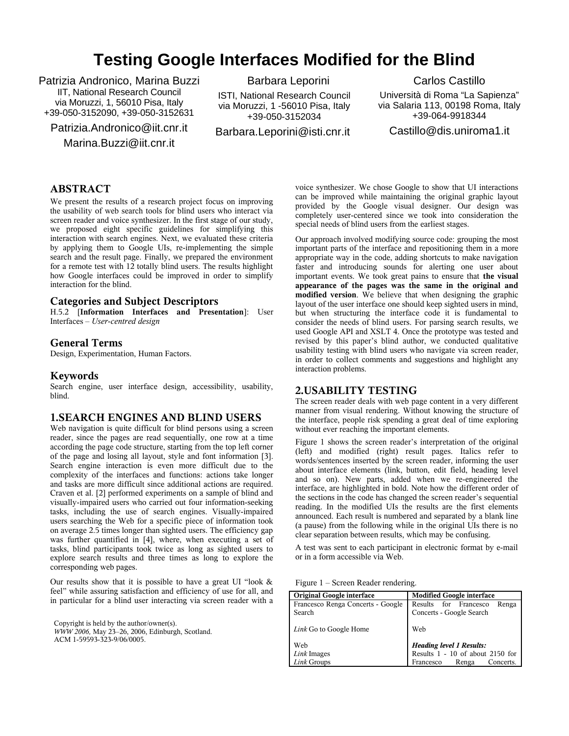# **Testing Google Interfaces Modified for the Blind**

Patrizia Andronico, Marina Buzzi IIT, National Research Council via Moruzzi, 1, 56010 Pisa, Italy +39-050-3152090, +39-050-3152631

Patrizia.Andronico@iit.cnr.it Marina.Buzzi@iit.cnr.it

Barbara Leporini

ISTI, National Research Council via Moruzzi, 1 -56010 Pisa, Italy +39-050-3152034

Barbara.Leporini@isti.cnr.it

Carlos Castillo Università di Roma "La Sapienza" via Salaria 113, 00198 Roma, Italy +39-064-9918344

Castillo@dis.uniroma1.it

## **ABSTRACT**

We present the results of a research project focus on improving the usability of web search tools for blind users who interact via screen reader and voice synthesizer. In the first stage of our study, we proposed eight specific guidelines for simplifying this interaction with search engines. Next, we evaluated these criteria by applying them to Google UIs, re-implementing the simple search and the result page. Finally, we prepared the environment for a remote test with 12 totally blind users. The results highlight how Google interfaces could be improved in order to simplify interaction for the blind.

#### **Categories and Subject Descriptors**

H.5.2 [**Information Interfaces and Presentation**]: User Interfaces – *User-centred design*

#### **General Terms**

Design, Experimentation, Human Factors.

#### **Keywords**

Search engine, user interface design, accessibility, usability, blind.

### **1.SEARCH ENGINES AND BLIND USERS**

Web navigation is quite difficult for blind persons using a screen reader, since the pages are read sequentially, one row at a time according the page code structure, starting from the top left corner of the page and losing all layout, style and font information [3]. Search engine interaction is even more difficult due to the complexity of the interfaces and functions: actions take longer and tasks are more difficult since additional actions are required. Craven et al. [2] performed experiments on a sample of blind and visually-impaired users who carried out four information-seeking tasks, including the use of search engines. Visually-impaired users searching the Web for a specific piece of information took on average 2.5 times longer than sighted users. The efficiency gap was further quantified in [4], where, when executing a set of tasks, blind participants took twice as long as sighted users to explore search results and three times as long to explore the corresponding web pages.

Our results show that it is possible to have a great UI "look & feel" while assuring satisfaction and efficiency of use for all, and in particular for a blind user interacting via screen reader with a

Copyright is held by the author/owner(s). *WWW 2006,* May 23–26, 2006, Edinburgh, Scotland. ACM 1-59593-323-9/06/0005.

voice synthesizer. We chose Google to show that UI interactions can be improved while maintaining the original graphic layout provided by the Google visual designer. Our design was completely user-centered since we took into consideration the special needs of blind users from the earliest stages.

Our approach involved modifying source code: grouping the most important parts of the interface and repositioning them in a more appropriate way in the code, adding shortcuts to make navigation faster and introducing sounds for alerting one user about important events. We took great pains to ensure that **the visual appearance of the pages was the same in the original and modified version**. We believe that when designing the graphic layout of the user interface one should keep sighted users in mind, but when structuring the interface code it is fundamental to consider the needs of blind users. For parsing search results, we used Google API and XSLT [4.](#page-1-0) Once the prototype was tested and revised by this paper's blind author, we conducted qualitative usability testing with blind users who navigate via screen reader, in order to collect comments and suggestions and highlight any interaction problems.

#### **2.USABILITY TESTING**

The screen reader deals with web page content in a very different manner from visual rendering. Without knowing the structure of the interface, people risk spending a great deal of time exploring without ever reaching the important elements.

Figure 1 shows the screen reader's interpretation of the original (left) and modified (right) result pages. Italics refer to words/sentences inserted by the screen reader, informing the user about interface elements (link, button, edit field, heading level and so on). New parts, added when we re-engineered the interface, are highlighted in bold. Note how the different order of the sections in the code has changed the screen reader's sequential reading. In the modified UIs the results are the first elements announced. Each result is numbered and separated by a blank line (a pause) from the following while in the original UIs there is no clear separation between results, which may be confusing.

A test was sent to each participant in electronic format by e-mail or in a form accessible via Web.

| Figure 1 – Screen Reader rendering. |  |  |  |
|-------------------------------------|--|--|--|
|-------------------------------------|--|--|--|

| <b>Original Google interface</b>  | <b>Modified Google interface</b>  |  |  |
|-----------------------------------|-----------------------------------|--|--|
| Francesco Renga Concerts - Google | Results<br>for Francesco<br>Renga |  |  |
| Search                            | Concerts - Google Search          |  |  |
| Link Go to Google Home            | Web                               |  |  |
| Web                               | <b>Heading level 1 Results:</b>   |  |  |
| Link Images                       | Results 1 - 10 of about 2150 for  |  |  |
| Link Groups                       | Concerts.<br>Francesco<br>Renga   |  |  |